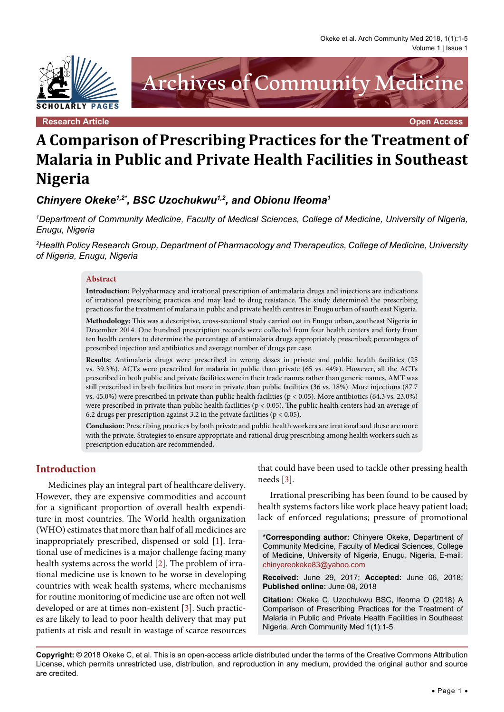Okeke et al. Arch Community Med 2018, 1(1):1-5 Volume 1 | Issue 1



# **A Comparison of Prescribing Practices for the Treatment of Malaria in Public and Private Health Facilities in Southeast Nigeria**

*Chinyere Okeke1,2\*, BSC Uzochukwu1,2, and Obionu Ifeoma1*

*1 Department of Community Medicine, Faculty of Medical Sciences, College of Medicine, University of Nigeria, Enugu, Nigeria*

*2 Health Policy Research Group, Department of Pharmacology and Therapeutics, College of Medicine, University of Nigeria, Enugu, Nigeria*

#### **Abstract**

**Introduction:** Polypharmacy and irrational prescription of antimalaria drugs and injections are indications of irrational prescribing practices and may lead to drug resistance. The study determined the prescribing practices for the treatment of malaria in public and private health centres in Enugu urban of south east Nigeria.

**Methodology:** This was a descriptive, cross-sectional study carried out in Enugu urban, southeast Nigeria in December 2014. One hundred prescription records were collected from four health centers and forty from ten health centers to determine the percentage of antimalaria drugs appropriately prescribed; percentages of prescribed injection and antibiotics and average number of drugs per case.

**Results:** Antimalaria drugs were prescribed in wrong doses in private and public health facilities (25 vs. 39.3%). ACTs were prescribed for malaria in public than private (65 vs. 44%). However, all the ACTs prescribed in both public and private facilities were in their trade names rather than generic names. AMT was still prescribed in both facilities but more in private than public facilities (36 vs. 18%). More injections (87.7 vs. 45.0%) were prescribed in private than public health facilities ( $p < 0.05$ ). More antibiotics (64.3 vs. 23.0%) were prescribed in private than public health facilities ( $p < 0.05$ ). The public health centers had an average of 6.2 drugs per prescription against 3.2 in the private facilities ( $p < 0.05$ ).

**Conclusion:** Prescribing practices by both private and public health workers are irrational and these are more with the private. Strategies to ensure appropriate and rational drug prescribing among health workers such as prescription education are recommended.

## **Introduction**

Medicines play an integral part of healthcare delivery. However, they are expensive commodities and account for a significant proportion of overall health expenditure in most countries. The World health organization (WHO) estimates that more than half of all medicines are inappropriately prescribed, dispensed or sold [\[1\]](#page-4-0). Irrational use of medicines is a major challenge facing many health systems across the world [[2](#page-4-1)]. The problem of irrational medicine use is known to be worse in developing countries with weak health systems, where mechanisms for routine monitoring of medicine use are often not well developed or are at times non-existent [\[3](#page-4-2)]. Such practices are likely to lead to poor health delivery that may put patients at risk and result in wastage of scarce resources

that could have been used to tackle other pressing health needs [\[3\]](#page-4-2).

Irrational prescribing has been found to be caused by health systems factors like work place heavy patient load; lack of enforced regulations; pressure of promotional

**\*Corresponding author:** Chinyere Okeke, Department of Community Medicine, Faculty of Medical Sciences, College of Medicine, University of Nigeria, Enugu, Nigeria, E-mail: chinyereokeke83@yahoo.com

**Received:** June 29, 2017; **Accepted:** June 06, 2018; **Published online:** June 08, 2018

**Citation:** Okeke C, Uzochukwu BSC, Ifeoma O (2018) A Comparison of Prescribing Practices for the Treatment of Malaria in Public and Private Health Facilities in Southeast Nigeria. Arch Community Med 1(1):1-5

**Copyright:** © 2018 Okeke C, et al. This is an open-access article distributed under the terms of the Creative Commons Attribution License, which permits unrestricted use, distribution, and reproduction in any medium, provided the original author and source are credited.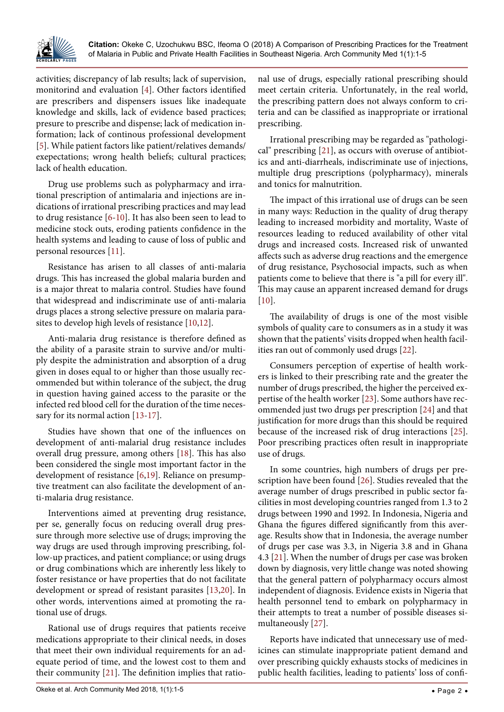

activities; discrepancy of lab results; lack of supervision, monitorind and evaluation [[4\]](#page-4-3). Other factors identified are prescribers and dispensers issues like inadequate knowledge and skills, lack of evidence based practices; presure to prescribe and dispense; lack of medication information; lack of continous professional development [\[5\]](#page-4-4). While patient factors like patient/relatives demands/ exepectations; wrong health beliefs; cultural practices; lack of health education.

Drug use problems such as polypharmacy and irrational prescription of antimalaria and injections are indications of irrational prescribing practices and may lead to drug resistance [[6-](#page-4-5)[10](#page-4-6)]. It has also been seen to lead to medicine stock outs, eroding patients confidence in the health systems and leading to cause of loss of public and personal resources [[11](#page-4-7)].

Resistance has arisen to all classes of anti-malaria drugs. This has increased the global malaria burden and is a major threat to malaria control. Studies have found that widespread and indiscriminate use of anti-malaria drugs places a strong selective pressure on malaria parasites to develop high levels of resistance [\[10](#page-4-6)[,12\]](#page-4-8).

Anti-malaria drug resistance is therefore defined as the ability of a parasite strain to survive and/or multiply despite the administration and absorption of a drug given in doses equal to or higher than those usually recommended but within tolerance of the subject, the drug in question having gained access to the parasite or the infected red blood cell for the duration of the time necessary for its normal action [[13](#page-4-9)[-17\]](#page-4-10).

Studies have shown that one of the influences on development of anti-malarial drug resistance includes overall drug pressure, among others [\[18](#page-4-11)]. This has also been considered the single most important factor in the development of resistance [[6](#page-4-5),[19](#page-4-12)]. Reliance on presumptive treatment can also facilitate the development of anti-malaria drug resistance.

Interventions aimed at preventing drug resistance, per se, generally focus on reducing overall drug pressure through more selective use of drugs; improving the way drugs are used through improving prescribing, follow-up practices, and patient compliance; or using drugs or drug combinations which are inherently less likely to foster resistance or have properties that do not facilitate development or spread of resistant parasites [[13](#page-4-9),[20](#page-4-13)]. In other words, interventions aimed at promoting the rational use of drugs.

Rational use of drugs requires that patients receive medications appropriate to their clinical needs, in doses that meet their own individual requirements for an adequate period of time, and the lowest cost to them and their community [[21](#page-4-14)]. The definition implies that rational use of drugs, especially rational prescribing should meet certain criteria. Unfortunately, in the real world, the prescribing pattern does not always conform to criteria and can be classified as inappropriate or irrational prescribing.

Irrational prescribing may be regarded as "pathological" prescribing [[21](#page-4-14)], as occurs with overuse of antibiotics and anti-diarrheals, indiscriminate use of injections, multiple drug prescriptions (polypharmacy), minerals and tonics for malnutrition.

The impact of this irrational use of drugs can be seen in many ways: Reduction in the quality of drug therapy leading to increased morbidity and mortality, Waste of resources leading to reduced availability of other vital drugs and increased costs. Increased risk of unwanted affects such as adverse drug reactions and the emergence of drug resistance, Psychosocial impacts, such as when patients come to believe that there is "a pill for every ill". This may cause an apparent increased demand for drugs [[10](#page-4-6)].

The availability of drugs is one of the most visible symbols of quality care to consumers as in a study it was shown that the patients' visits dropped when health facilities ran out of commonly used drugs [[22](#page-4-15)].

Consumers perception of expertise of health workers is linked to their prescribing rate and the greater the number of drugs prescribed, the higher the perceived expertise of the health worker [[23](#page-4-16)]. Some authors have recommended just two drugs per prescription [[24](#page-4-17)] and that justification for more drugs than this should be required because of the increased risk of drug interactions [[25](#page-4-18)]. Poor prescribing practices often result in inappropriate use of drugs.

In some countries, high numbers of drugs per prescription have been found [[26\]](#page-4-19). Studies revealed that the average number of drugs prescribed in public sector facilities in most developing countries ranged from 1.3 to 2 drugs between 1990 and 1992. In Indonesia, Nigeria and Ghana the figures differed significantly from this average. Results show that in Indonesia, the average number of drugs per case was 3.3, in Nigeria 3.8 and in Ghana 4.3 [[21\]](#page-4-14). When the number of drugs per case was broken down by diagnosis, very little change was noted showing that the general pattern of polypharmacy occurs almost independent of diagnosis. Evidence exists in Nigeria that health personnel tend to embark on polypharmacy in their attempts to treat a number of possible diseases simultaneously [[27](#page-4-20)].

Reports have indicated that unnecessary use of medicines can stimulate inappropriate patient demand and over prescribing quickly exhausts stocks of medicines in public health facilities, leading to patients' loss of confi-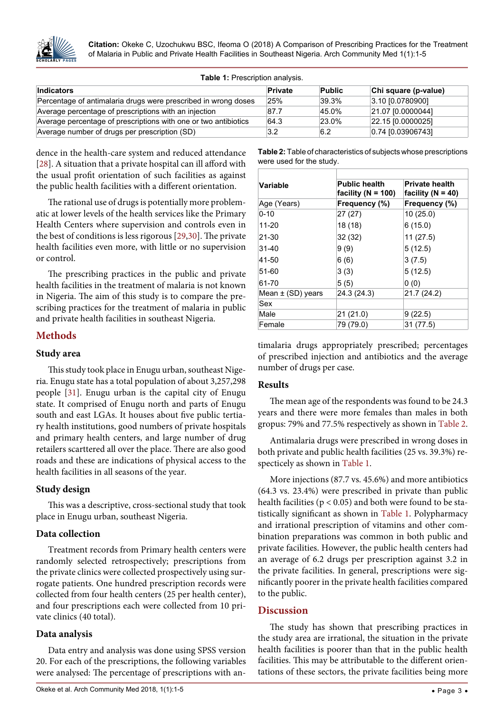

**Citation:** Okeke C, Uzochukwu BSC, Ifeoma O (2018) A Comparison of Prescribing Practices for the Treatment of Malaria in Public and Private Health Facilities in Southeast Nigeria. Arch Community Med 1(1):1-5

<span id="page-2-1"></span>

|  |  | Table 1: Prescription analysis. |  |
|--|--|---------------------------------|--|
|--|--|---------------------------------|--|

| Indicators                                                      | Private | <b>Public</b> | Chi square (p-value)  |  |
|-----------------------------------------------------------------|---------|---------------|-----------------------|--|
| Percentage of antimalaria drugs were prescribed in wrong doses  | 25%     | $39.3\%$      | 3.10 0.0780900        |  |
| Average percentage of prescriptions with an injection           | 87.7    | 45.0%         | 21.07 0.0000044       |  |
| Average percentage of prescriptions with one or two antibiotics | 64.3    | $23.0\%$      | $[22.15]$ [0.0000025] |  |
| Average number of drugs per prescription (SD)                   | 3.2     | 6.2           | 0.74 0.03906743       |  |

dence in the health-care system and reduced attendance [\[28\]](#page-4-21). A situation that a private hospital can ill afford with the usual profit orientation of such facilities as against the public health facilities with a different orientation.

The rational use of drugs is potentially more problematic at lower levels of the health services like the Primary Health Centers where supervision and controls even in the best of conditions is less rigorous [\[29,](#page-4-22)[30\]](#page-4-23). The private health facilities even more, with little or no supervision or control.

The prescribing practices in the public and private health facilities in the treatment of malaria is not known in Nigeria. The aim of this study is to compare the prescribing practices for the treatment of malaria in public and private health facilities in southeast Nigeria.

## **Methods**

## **Study area**

This study took place in Enugu urban, southeast Nigeria. Enugu state has a total population of about 3,257,298 people [[31](#page-4-24)]. Enugu urban is the capital city of Enugu state. It comprised of Enugu north and parts of Enugu south and east LGAs. It houses about five public tertiary health institutions, good numbers of private hospitals and primary health centers, and large number of drug retailers scarttered all over the place. There are also good roads and these are indications of physical access to the health facilities in all seasons of the year.

## **Study design**

This was a descriptive, cross-sectional study that took place in Enugu urban, southeast Nigeria.

#### **Data collection**

Treatment records from Primary health centers were randomly selected retrospectively; prescriptions from the private clinics were collected prospectively using surrogate patients. One hundred prescription records were collected from four health centers (25 per health center), and four prescriptions each were collected from 10 private clinics (40 total).

## **Data analysis**

Data entry and analysis was done using SPSS version 20. For each of the prescriptions, the following variables were analysed: The percentage of prescriptions with an-

<span id="page-2-0"></span>**Table 2:** Table of characteristics of subjects whose prescriptions were used for the study.

| Variable              | <b>Public health</b><br>facility ( $N = 100$ ) | <b>Private health</b><br>facility ( $N = 40$ ) |  |  |
|-----------------------|------------------------------------------------|------------------------------------------------|--|--|
| Age (Years)           | Frequency (%)                                  | Frequency (%)                                  |  |  |
| $0 - 10$              | 27 (27)                                        | 10(25.0)                                       |  |  |
| 11-20                 | 18 (18)                                        | 6(15.0)                                        |  |  |
| $21 - 30$             | 32 (32)                                        | 11(27.5)                                       |  |  |
| 31-40                 | 9(9)                                           | 5(12.5)                                        |  |  |
| 41-50                 | 6(6)                                           | 3(7.5)                                         |  |  |
| 51-60                 | 3(3)                                           | 5(12.5)                                        |  |  |
| 61-70                 | 5(5)                                           | 0(0)                                           |  |  |
| Mean $\pm$ (SD) years | 24.3 (24.3)                                    | 21.7 (24.2)                                    |  |  |
| Sex                   |                                                |                                                |  |  |
| Male                  | 21 (21.0)                                      | 9(22.5)                                        |  |  |
| Female                | 79 (79.0)                                      | 31 (77.5)                                      |  |  |

timalaria drugs appropriately prescribed; percentages of prescribed injection and antibiotics and the average number of drugs per case.

### **Results**

The mean age of the respondents was found to be 24.3 years and there were more females than males in both gropus: 79% and 77.5% respectively as shown in [Table 2](#page-2-0).

Antimalaria drugs were prescribed in wrong doses in both private and public health facilities (25 vs. 39.3%) respecticely as shown in [Table 1.](#page-2-1)

More injections (87.7 vs. 45.6%) and more antibiotics (64.3 vs. 23.4%) were prescribed in private than public health facilities ( $p < 0.05$ ) and both were found to be statistically significant as shown in [Table 1](#page-2-1). Polypharmacy and irrational prescription of vitamins and other combination preparations was common in both public and private facilities. However, the public health centers had an average of 6.2 drugs per prescription against 3.2 in the private facilities. In general, prescriptions were significantly poorer in the private health facilities compared to the public.

## **Discussion**

The study has shown that prescribing practices in the study area are irrational, the situation in the private health facilities is poorer than that in the public health facilities. This may be attributable to the different orientations of these sectors, the private facilities being more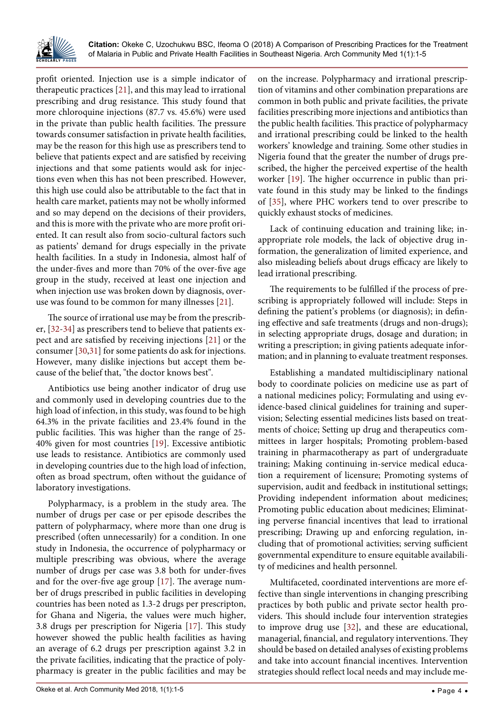

profit oriented. Injection use is a simple indicator of therapeutic practices [[21](#page-4-14)], and this may lead to irrational prescribing and drug resistance. This study found that more chloroquine injections (87.7 vs. 45.6%) were used in the private than public health facilities. The pressure towards consumer satisfaction in private health facilities, may be the reason for this high use as prescribers tend to believe that patients expect and are satisfied by receiving injections and that some patients would ask for injections even when this has not been prescribed. However, this high use could also be attributable to the fact that in health care market, patients may not be wholly informed and so may depend on the decisions of their providers, and this is more with the private who are more profit oriented. It can result also from socio-cultural factors such as patients' demand for drugs especially in the private health facilities. In a study in Indonesia, almost half of the under-fives and more than 70% of the over-five age group in the study, received at least one injection and when injection use was broken down by diagnosis, overuse was found to be common for many illnesses [\[21\]](#page-4-14).

The source of irrational use may be from the prescriber, [[32](#page-4-26)[-34\]](#page-4-27) as prescribers tend to believe that patients expect and are satisfied by receiving injections [\[21\]](#page-4-14) or the consumer [\[30](#page-4-23)[,31](#page-4-24)] for some patients do ask for injections. However, many dislike injections but accept them because of the belief that, "the doctor knows best".

Antibiotics use being another indicator of drug use and commonly used in developing countries due to the high load of infection, in this study, was found to be high 64.3% in the private facilities and 23.4% found in the public facilities. This was higher than the range of 25- 40% given for most countries [[19](#page-4-12)]. Excessive antibiotic use leads to resistance. Antibiotics are commonly used in developing countries due to the high load of infection, often as broad spectrum, often without the guidance of laboratory investigations.

Polypharmacy, is a problem in the study area. The number of drugs per case or per episode describes the pattern of polypharmacy, where more than one drug is prescribed (often unnecessarily) for a condition. In one study in Indonesia, the occurrence of polypharmacy or multiple prescribing was obvious, where the average number of drugs per case was 3.8 both for under-fives and for the over-five age group [\[17\]](#page-4-10). The average number of drugs prescribed in public facilities in developing countries has been noted as 1.3-2 drugs per prescripton, for Ghana and Nigeria, the values were much higher, 3.8 drugs per prescription for Nigeria [[17](#page-4-10)]. This study however showed the public health facilities as having an average of 6.2 drugs per prescription against 3.2 in the private facilities, indicating that the practice of polypharmacy is greater in the public facilities and may be on the increase. Polypharmacy and irrational prescription of vitamins and other combination preparations are common in both public and private facilities, the private facilities prescribing more injections and antibiotics than the public health facilities. This practice of polypharmacy and irrational prescribing could be linked to the health workers' knowledge and training. Some other studies in Nigeria found that the greater the number of drugs prescribed, the higher the perceived expertise of the health worker [[19](#page-4-12)]. The higher occurrence in public than private found in this study may be linked to the findings of [\[35](#page-4-25)], where PHC workers tend to over prescribe to quickly exhaust stocks of medicines.

Lack of continuing education and training like; inappropriate role models, the lack of objective drug information, the generalization of limited experience, and also misleading beliefs about drugs efficacy are likely to lead irrational prescribing.

The requirements to be fulfilled if the process of prescribing is appropriately followed will include: Steps in defining the patient's problems (or diagnosis); in defining effective and safe treatments (drugs and non-drugs); in selecting appropriate drugs, dosage and duration; in writing a prescription; in giving patients adequate information; and in planning to evaluate treatment responses.

Establishing a mandated multidisciplinary national body to coordinate policies on medicine use as part of a national medicines policy; Formulating and using evidence-based clinical guidelines for training and supervision; Selecting essential medicines lists based on treatments of choice; Setting up drug and therapeutics committees in larger hospitals; Promoting problem-based training in pharmacotherapy as part of undergraduate training; Making continuing in-service medical education a requirement of licensure; Promoting systems of supervision, audit and feedback in institutional settings; Providing independent information about medicines; Promoting public education about medicines; Eliminating perverse financial incentives that lead to irrational prescribing; Drawing up and enforcing regulation, including that of promotional activities; serving sufficient governmental expenditure to ensure equitable availability of medicines and health personnel.

Multifaceted, coordinated interventions are more effective than single interventions in changing prescribing practices by both public and private sector health providers. This should include four intervention strategies to improve drug use [[32](#page-4-26)], and these are educational, managerial, financial, and regulatory interventions. They should be based on detailed analyses of existing problems and take into account financial incentives. Intervention strategies should reflect local needs and may include me-